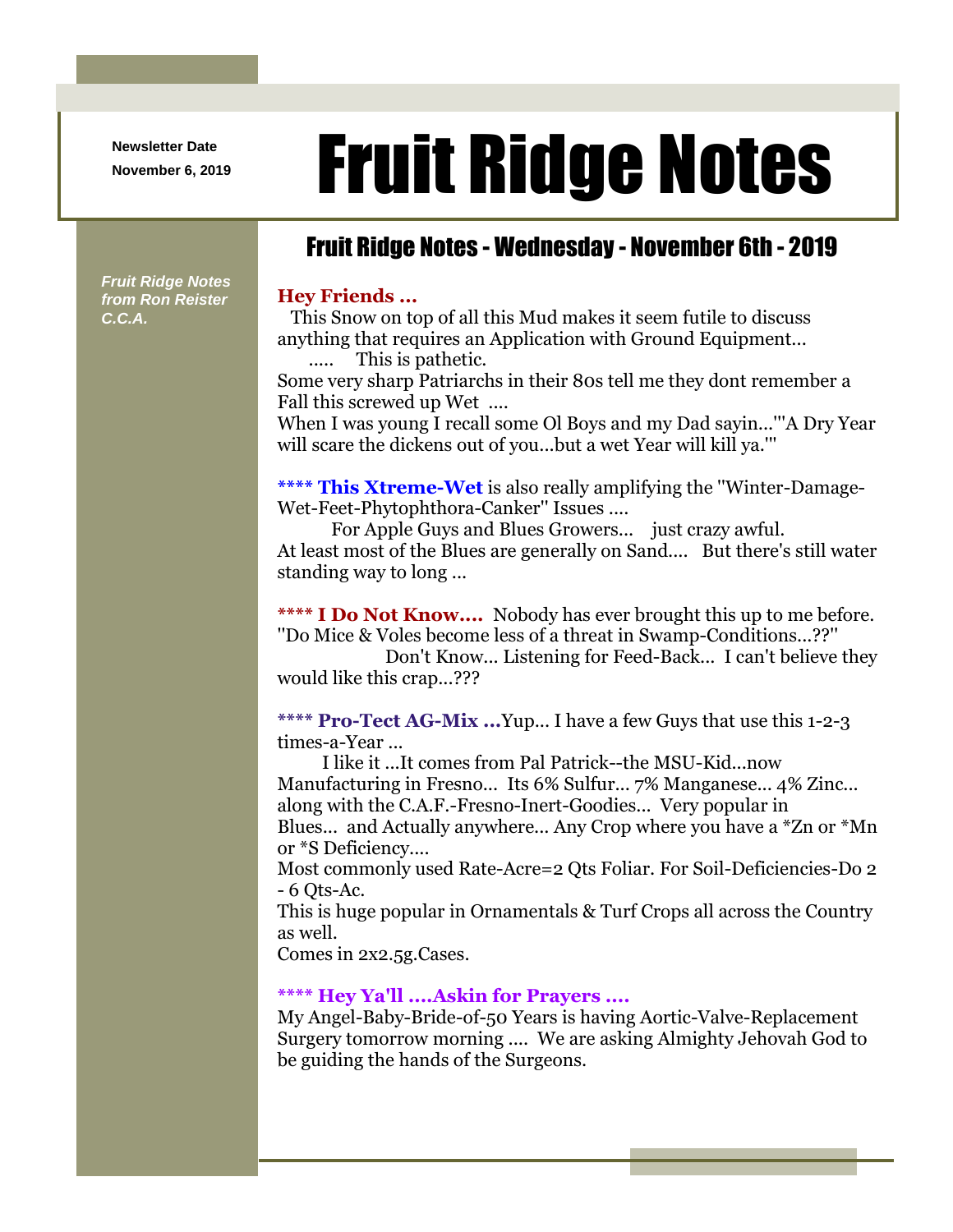**Newsletter Date**

# Newsletter Date **Fruit Ridge Notes**

### Fruit Ridge Notes - Wednesday - November 6th - 2019

*Fruit Ridge Notes from Ron Reister C.C.A.*

#### **Hey Friends ...**

This Snow on top of all this Mud makes it seem futile to discuss anything that requires an Application with Ground Equipment... ..... This is pathetic.

Some very sharp Patriarchs in their 80s tell me they dont remember a Fall this screwed up Wet ....

When I was young I recall some Ol Boys and my Dad sayin...'''A Dry Year will scare the dickens out of you...but a wet Year will kill ya.'''

**\*\*\*\* This Xtreme-Wet** is also really amplifying the ''Winter-Damage-Wet-Feet-Phytophthora-Canker'' Issues ....

For Apple Guys and Blues Growers... just crazy awful. At least most of the Blues are generally on Sand.... But there's still water standing way to long ...

**\*\*\*\* I Do Not Know....** Nobody has ever brought this up to me before. ''Do Mice & Voles become less of a threat in Swamp-Conditions...??''

Don't Know... Listening for Feed-Back... I can't believe they would like this crap...???

**\*\*\*\* Pro-Tect AG-Mix ...**Yup... I have a few Guys that use this 1-2-3 times-a-Year ...

I like it ...It comes from Pal Patrick--the MSU-Kid...now Manufacturing in Fresno... Its 6% Sulfur... 7% Manganese... 4% Zinc... along with the C.A.F.-Fresno-Inert-Goodies... Very popular in Blues... and Actually anywhere... Any Crop where you have a \*Zn or \*Mn or \*S Deficiency....

Most commonly used Rate-Acre=2 Qts Foliar. For Soil-Deficiencies-Do 2 - 6 Qts-Ac.

This is huge popular in Ornamentals & Turf Crops all across the Country as well.

Comes in 2x2.5g.Cases.

#### **\*\*\*\* Hey Ya'll ....Askin for Prayers ....**

My Angel-Baby-Bride-of-50 Years is having Aortic-Valve-Replacement Surgery tomorrow morning .... We are asking Almighty Jehovah God to be guiding the hands of the Surgeons.